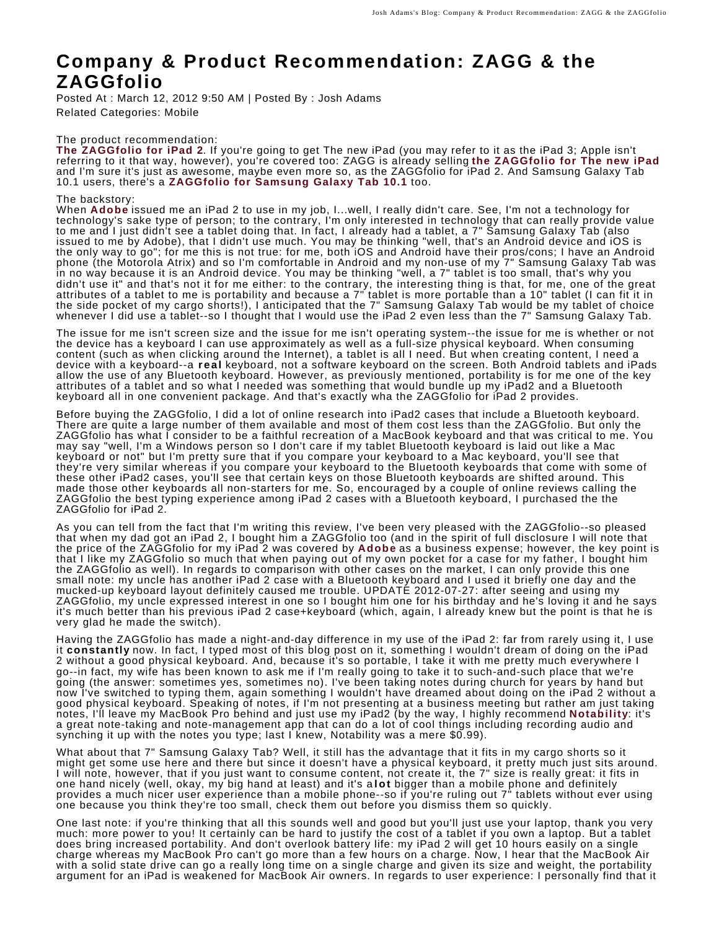# **Company & Product Recommendation: ZAGG & the ZAGGfolio**

Posted At : March 12, 2012 9:50 AM | Posted By : Josh Adams Related Categories: Mobile

#### The product recommendation:

**[The ZAGGfolio for iPad 2](http://www.zagg.com/accessories/zaggfolio-ipad-2-keyboard-case)**. If you're going to get The new iPad (you may refer to it as the iPad 3; Apple isn't referring to it that way, however), you're covered too: ZAGG is already selling **[the ZAGGfolio for The new iPad](http://www.zagg.com/accessories/zaggfolio-ipad-3-keyboard-case)** and I'm sure it's just as awesome, maybe even more so, as the ZAGGfolio for iPad 2. And Samsung Galaxy Tab 10.1 users, there's a **[ZAGGfolio for Samsung Galaxy Tab 10.1](http://www.zagg.com/accessories/zaggfolio-samsung-galaxy-tab)** too.

#### The backstory:

When **[Adobe](http://www.adobe.com)** issued me an iPad 2 to use in my job, I...well, I really didn't care. See, I'm not a technology for technology's sake type of person; to the contrary, I'm only interested in technology that can really provide value to me and I just didn't see a tablet doing that. In fact, I already had a tablet, a 7" Samsung Galaxy Tab (also issued to me by Adobe), that I didn't use much. You may be thinking "well, that's an Android device and iOS is the only way to go"; for me this is not true: for me, both iOS and Android have their pros/cons; I have an Android phone (the Motorola Atrix) and so I'm comfortable in Android and my non-use of my 7" Samsung Galaxy Tab was in no way because it is an Android device. You may be thinking "well, a 7" tablet is too small, that's why you didn't use it" and that's not it for me either: to the contrary, the interesting thing is that, for me, one of the great attributes of a tablet to me is portability and because a 7" tablet is more portable than a 10" tablet (I can fit it in the side pocket of my cargo shorts!), I anticipated that the 7" Samsung Galaxy Tab would be my tablet of choice whenever I did use a tablet--so I thought that I would use the iPad 2 even less than the 7" Samsung Galaxy Tab.

The issue for me isn't screen size and the issue for me isn't operating system--the issue for me is whether or not the device has a keyboard I can use approximately as well as a full-size physical keyboard. When consuming content (such as when clicking around the Internet), a tablet is all I need. But when creating content, I need a device with a keyboard--a **real** keyboard, not a software keyboard on the screen. Both Android tablets and iPads allow the use of any Bluetooth keyboard. However, as previously mentioned, portability is for me one of the key attributes of a tablet and so what I needed was something that would bundle up my iPad2 and a Bluetooth keyboard all in one convenient package. And that's exactly wha the ZAGGfolio for iPad 2 provides.

Before buying the ZAGGfolio, I did a lot of online research into iPad2 cases that include a Bluetooth keyboard. There are quite a large number of them available and most of them cost less than the ZAGGfolio. But only the ZAGGfolio has what I consider to be a faithful recreation of a MacBook keyboard and that was critical to me. You may say "well, I'm a Windows person so I don't care if my tablet Bluetooth keyboard is laid out like a Mac keyboard or not" but I'm pretty sure that if you compare your keyboard to a Mac keyboard, you'll see that they're very similar whereas if you compare your keyboard to the Bluetooth keyboards that come with some of these other iPad2 cases, you'll see that certain keys on those Bluetooth keyboards are shifted around. This made those other keyboards all non-starters for me. So, encouraged by a couple of online reviews calling the ZAGGfolio the best typing experience among iPad 2 cases with a Bluetooth keyboard, I purchased the the ZAGGfolio for iPad 2.

As you can tell from the fact that I'm writing this review, I've been very pleased with the ZAGGfolio--so pleased that when my dad got an iPad 2, I bought him a ZAGGfolio too (and in the spirit of full disclosure I will note that the price of the ZAGGfolio for my iPad 2 was covered by **[Adobe](http://www.adobe.com)** as a business expense; however, the key point is that I like my ZAGGfolio so much that when paying out of my own pocket for a case for my father, I bought him the ZAGGfolio as well). In regards to comparison with other cases on the market, I can only provide this one small note: my uncle has another iPad 2 case with a Bluetooth keyboard and I used it briefly one day and the mucked-up keyboard layout definitely caused me trouble. UPDATE 2012-07-27: after seeing and using my ZAGGfolio, my uncle expressed interest in one so I bought him one for his birthday and he's loving it and he says it's much better than his previous iPad 2 case+keyboard (which, again, I already knew but the point is that he is very glad he made the switch).

Having the ZAGGfolio has made a night-and-day difference in my use of the iPad 2: far from rarely using it, I use it **constantly** now. In fact, I typed most of this blog post on it, something I wouldn't dream of doing on the iPad 2 without a good physical keyboard. And, because it's so portable, I take it with me pretty much everywhere I go--in fact, my wife has been known to ask me if I'm really going to take it to such-and-such place that we're going (the answer: sometimes yes, sometimes no). I've been taking notes during church for years by hand but now I've switched to typing them, again something I wouldn't have dreamed about doing on the iPad 2 without a good physical keyboard. Speaking of notes, if I'm not presenting at a business meeting but rather am just taking notes, I'll leave my MacBook Pro behind and just use my iPad2 (by the way, I highly recommend **[Notability](http://www.gingerlabs.com/cont/notability.php)**: it's a great note-taking and note-management app that can do a lot of cool things including recording audio and synching it up with the notes you type; last I knew, Notability was a mere \$0.99).

What about that 7" Samsung Galaxy Tab? Well, it still has the advantage that it fits in my cargo shorts so it might get some use here and there but since it doesn't have a physical keyboard, it pretty much just sits around. I will note, however, that if you just want to consume content, not create it, the 7" size is really great: it fits in one hand nicely (well, okay, my big hand at least) and it's a **lot** bigger than a mobile phone and definitely provides a much nicer user experience than a mobile phone--so if you're ruling out 7" tablets without ever using one because you think they're too small, check them out before you dismiss them so quickly.

One last note: if you're thinking that all this sounds well and good but you'll just use your laptop, thank you very much: more power to you! It certainly can be hard to justify the cost of a tablet if you own a laptop. But a tablet does bring increased portability. And don't overlook battery life: my iPad 2 will get 10 hours easily on a single charge whereas my MacBook Pro can't go more than a few hours on a charge. Now, I hear that the MacBook Air with a solid state drive can go a really long time on a single charge and given its size and weight, the portability argument for an iPad is weakened for MacBook Air owners. In regards to user ex[perience: I personally find that](http://www.weather.com/services/ipad.html) it